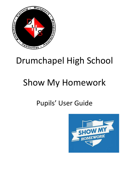

## Drumchapel High School

# Show My Homework

### Pupils' User Guide

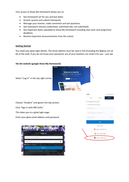Your access to Show My Homework allows you to:

- See homework set for you and due dates.
- Answer quizzes and submit homework.
- Message your teacher, make comments and ask questions.
- See homework statuses (submitted, submitted late, not submitted).
- See important dates uploaded to Show My Homework including class tests and assignment deadlines.
- Receive important announcements from the school.

#### **Getting Started**

You need your glow login details. The email address must be used in full (including the @glow.sch.uk bit at the end). If you do not know your password, any of your teachers can reset it for you – just ask.

#### *Via the website* **(google Show My Homework)**



Select "Log In" in the top right corner.

Choose "Student" and ignore the top section.

Click "Sign in with RM Unify."

This takes you to a glow login page.

Enter your glow email address and password.



| Login                           |                         | Forgot password? |
|---------------------------------|-------------------------|------------------|
| Staff                           | Parent                  | Student          |
| I already have an account       |                         |                  |
| O I don't have an account yet   |                         |                  |
| Search school                   |                         |                  |
| Enter email address or username |                         |                  |
| Enter password                  |                         | ۰                |
|                                 | Log in                  |                  |
|                                 | Or log in with:         |                  |
|                                 | Sign in with Office 365 |                  |
|                                 | Sign in with Google     |                  |
|                                 | Sign in with RM Unify   |                  |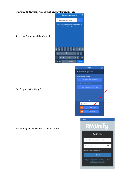### *Via a mobile device* **(download the Show My Homework app)**



Search for Drumchapel High School.



Enter your glow email address and password.

| Í | Log In                                                | $\overline{\odot}$ |   |
|---|-------------------------------------------------------|--------------------|---|
|   | Drumchapel High School                                |                    |   |
|   | I already have an account                             |                    |   |
|   | Log in with email or username                         |                    |   |
|   | I do not have an account yet                          |                    |   |
|   | Log in with PIN or Parent Code                        |                    |   |
|   |                                                       |                    |   |
|   | or                                                    |                    |   |
|   | G<br>Sign in                                          |                    |   |
|   | Log in via Offee 365<br>a                             |                    |   |
|   | Log in via RM Unify                                   |                    |   |
|   | Cancel                                                |                    |   |
|   |                                                       |                    |   |
|   | Launch Pad to the Clo                                 |                    |   |
|   | Sign In                                               |                    |   |
|   | Username or Email Address                             |                    |   |
|   | Password                                              |                    | ۱ |
|   | Remember my username                                  |                    |   |
|   | Sign in                                               |                    |   |
|   | Forgotten your password? - Eind<br>out about RM Unify |                    |   |